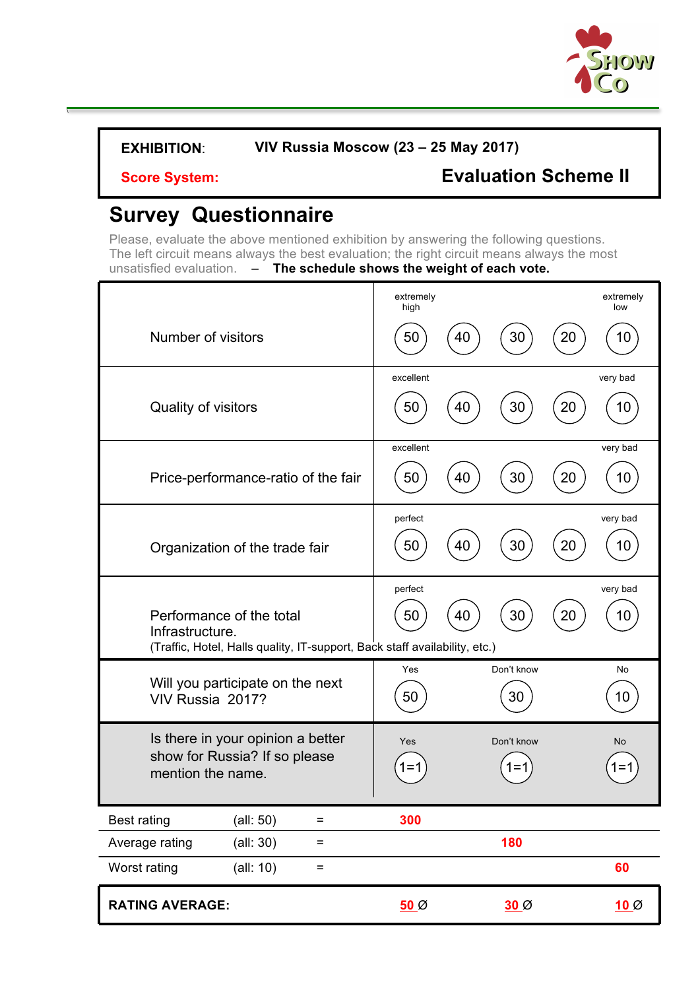

\

**Score System: Evaluation Scheme II**

# **Survey Questionnaire**

Please, evaluate the above mentioned exhibition by answering the following questions. The left circuit means always the best evaluation; the right circuit means always the most unsatisfied evaluation.  $-$  **The schedule shows the weight of each vote.** 

|                                                                                                                           | extremely<br>high                 | extremely<br>low |
|---------------------------------------------------------------------------------------------------------------------------|-----------------------------------|------------------|
| Number of visitors                                                                                                        | 30<br>20<br>50<br>40              | 10               |
| Quality of visitors                                                                                                       | excellent<br>30<br>20<br>50<br>40 | very bad<br>10   |
|                                                                                                                           |                                   |                  |
| Price-performance-ratio of the fair                                                                                       | excellent<br>50<br>30<br>20<br>40 | very bad<br>10   |
| Organization of the trade fair                                                                                            | perfect<br>30<br>50<br>40<br>20   | very bad<br>10   |
| Performance of the total<br>Infrastructure.<br>(Traffic, Hotel, Halls quality, IT-support, Back staff availability, etc.) | perfect<br>50<br>40<br>30<br>20   | very bad<br>10   |
| Will you participate on the next<br>VIV Russia 2017?                                                                      | Don't know<br>Yes<br>50<br>30     | No<br>10         |
| Is there in your opinion a better<br>show for Russia? If so please<br>mention the name.                                   | Yes<br>Don't know                 | No               |
| <b>Best rating</b><br>(all: 50)<br>=                                                                                      | 300                               |                  |
| Average rating<br>(all: 30)<br>$=$                                                                                        | 180                               |                  |
| Worst rating<br>$\left(\text{all: } 10\right)$<br>=                                                                       |                                   | 60               |
| <b>RATING AVERAGE:</b>                                                                                                    | $50\%$<br>$30\%$                  | $10\%$           |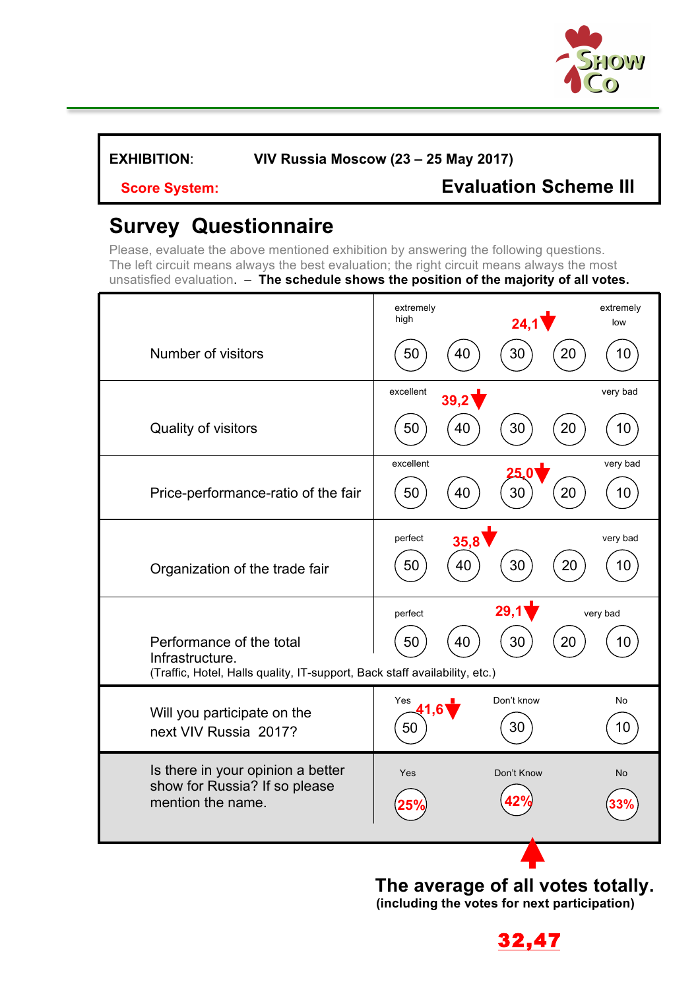

## **Score System: Evaluation Scheme III**

# **Survey Questionnaire**

Please, evaluate the above mentioned exhibition by answering the following questions. The left circuit means always the best evaluation; the right circuit means always the most unsatisfied evaluation. – **The schedule shows the position of the majority of all votes.**

|                                                                                                                           | extremely<br>high     | 23,6             | extremely<br>low |
|---------------------------------------------------------------------------------------------------------------------------|-----------------------|------------------|------------------|
| Number of visitors                                                                                                        | 50<br>40              | 20<br>30         | 10               |
|                                                                                                                           | excellent<br>33,6     |                  | very bad         |
| Quality of visitors                                                                                                       | 40<br>50              | 30<br>20         | 10               |
| Price-performance-ratio of the fair                                                                                       | excellent<br>50<br>40 | 22,1<br>30<br>20 | very bad<br>10   |
| Organization of the trade fair                                                                                            | perfect<br>50<br>40   | 20,0<br>20<br>30 | very bad<br>10   |
| Performance of the total<br>Infrastructure.<br>(Traffic, Hotel, Halls quality, IT-support, Back staff availability, etc.) | perfect<br>50<br>40   | 26,4<br>30<br>20 | very bad<br>10   |
| Will you participate on the<br>next VIV Russia 2017?                                                                      | Yes<br>32,8<br>50     | Don't know<br>30 | <b>No</b><br>10  |
| Is there in your opinion a better<br>show for Russia? If so please<br>mention the name.                                   | Yes                   | Don't Know       | No               |

**The average of all votes totally. (including the votes for next participation)** 

**26,42**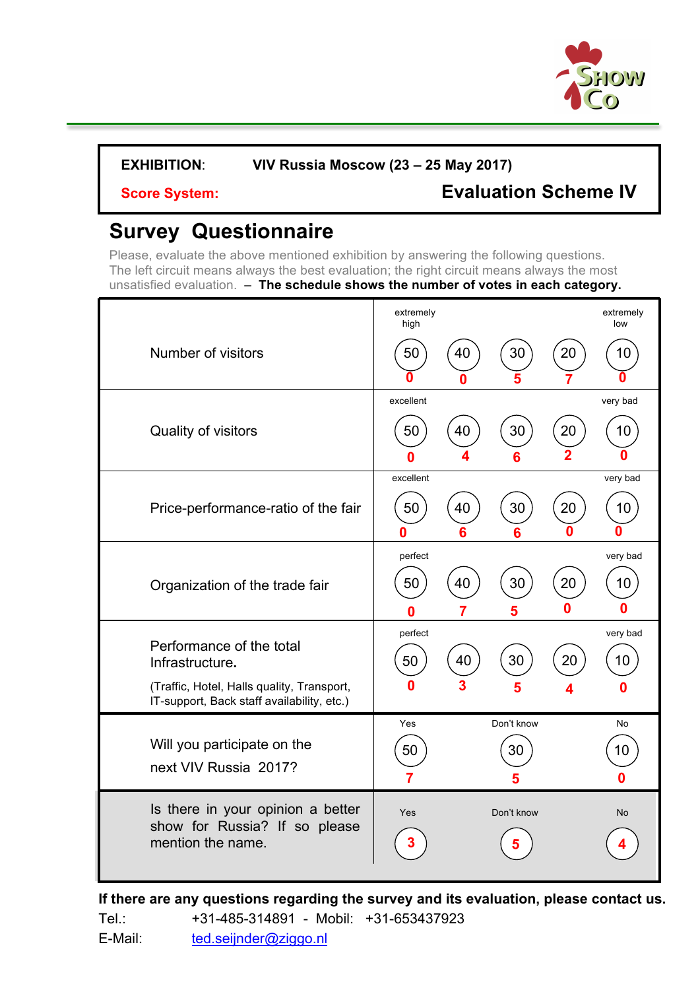

## **Score System: Evaluation Scheme IV**

# **Survey Questionnaire**

Please, evaluate the above mentioned exhibition by answering the following questions. The left circuit means always the best evaluation; the right circuit means always the most unsatisfied evaluation. – **The schedule shows the number of votes in each category.**

|                                                                                          | extremely<br>high |    |            |    | extremely<br>low |
|------------------------------------------------------------------------------------------|-------------------|----|------------|----|------------------|
| Number of visitors                                                                       | 50                | 40 | 30         | 20 | 10               |
|                                                                                          | excellent         |    |            |    | very bad         |
| Quality of visitors                                                                      | 50<br>n           | 40 | 30         | 20 | 10               |
|                                                                                          | excellent         |    |            |    | very bad         |
| Price-performance-ratio of the fair                                                      | 50<br>n           | 40 | 30         | 20 | 10               |
|                                                                                          | perfect           |    |            |    | very bad         |
| Organization of the trade fair                                                           | 50                | 40 | 30         | 20 | 10               |
|                                                                                          | Λ                 |    |            |    | 6                |
| Performance of the total<br>Infrastructure.                                              | perfect<br>50     | 40 | 30         | 20 | very bad<br>10   |
| (Traffic, Hotel, Halls quality, Transport,<br>IT-support, Back staff availability, etc.) | Ω                 |    |            |    |                  |
|                                                                                          | Yes               |    | Don't know |    | No               |
|                                                                                          |                   |    |            |    |                  |
| Will you participate on the                                                              | 50                |    | $30\,$     |    | 10               |
| next VIV Russia 2017?                                                                    | 3                 |    | 10         |    |                  |

**If there are any questions regarding the survey and its evaluation, please contact us.**  Tel.: +31-485-314891 - Mobil: +31-653437923 E-Mail: ted.seijnder@ziggo.nl